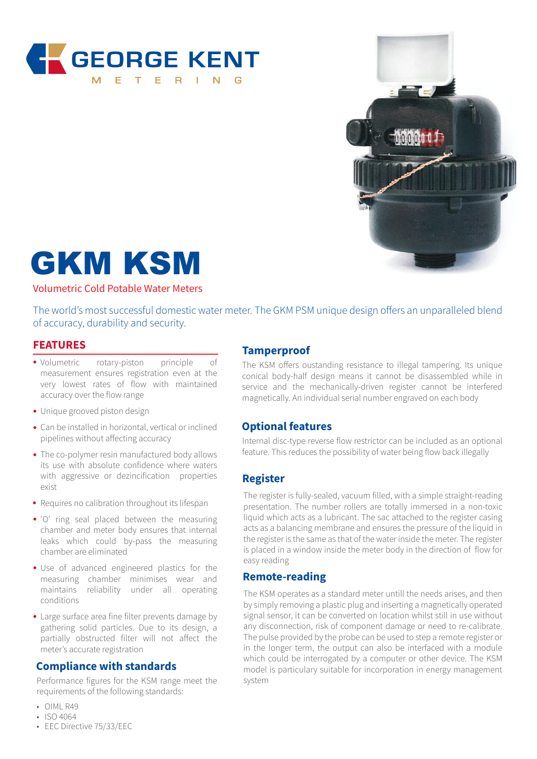



# GKM KSM

#### Volumetric Cold Potable Water Meters

The world's most successful domestic water meter. The GKM PSM unique design offers an unparalleled blend of accuracy, durability and security.

#### **FEATURES**

- Volumetric rotary-piston principle of measurement ensures registration even at the very lowest rates of flow with maintained accuracy over the flow range
- Unique grooved piston design
- Can be installed in horizontal, vertical or inclined pipelines without affecting accuracy
- The co-polymer resin manufactured body allows its use with absolute confidence where waters with aggressive or dezincification properties exist
- Requires no calibration throughout its lifespan
- 'O' ring seal placed between the measuring chamber and meter body ensures that internal leaks which could by-pass the measuring chamber are eliminated
- Use of advanced engineered plastics for the measuring chamber minimises wear and maintains reliability under all operating conditions
- Large surface area fine filter prevents damage by gathering solid particles. Due to its design, a partially obstructed filter will not affect the meter's accurate registration

#### **Compliance with standards**

Performance figures for the KSM range meet the requirements of the following standards:

- OIML R49
- ISO 4064
- EEC Directive 75/33/EEC

### **Tamperproof**

The KSM offers oustanding resistance to illegal tampering. Its unique conical body-half design means it cannot be disassembled while in service and the mechanically-driven register cannot be interfered magnetically. An individual serial number engraved on each body

#### **Optional features**

Internal disc-type reverse flow restrictor can be included as an optional feature. This reduces the possibility of water being flow back illegally

#### **Register**

The register is fully-sealed, vacuum filled, with a simple straight-reading presentation. The number rollers are totally immersed in a non-toxic liquid which acts as a lubricant. The sac attached to the register casing acts as a balancing membrane and ensures the pressure of the liquid in the register is the same as that of the water inside the meter. The register is placed in a window inside the meter body in the direction of flow for easy reading

#### **Remote-reading**

The KSM operates as a standard meter untill the needs arises, and then by simply removing a plastic plug and inserting a magnetically operated signal sensor, it can be converted on location whilst still in use without any disconnection, risk of component damage or need to re-calibrate. The pulse provided by the probe can be used to step a remote register or in the longer term, the output can also be interfaced with a module which could be interrogated by a computer or other device. The KSM model is particulary suitable for incorporation in energy management system